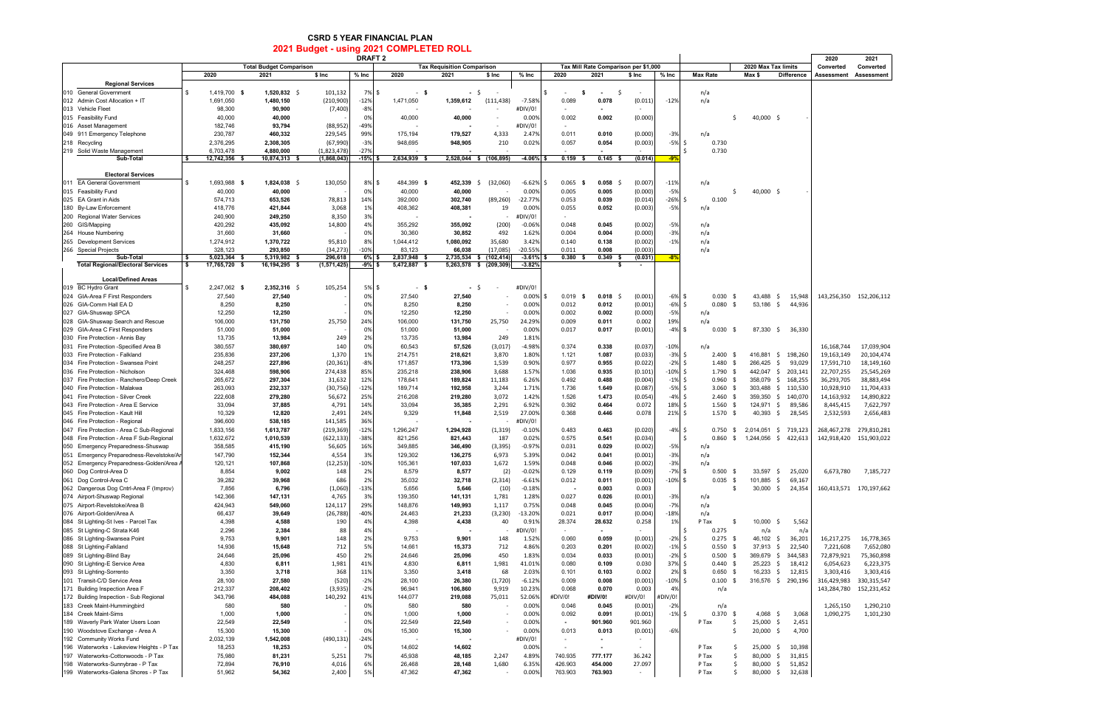## **CSRD 5 YEAR FINANCIAL PLAN 2021 Budget - using 2021 COMPLETED ROLL**

| 2021 Budget - USING 2021 COMPLETED ROLL<br><b>DRAFT 2</b>                  |                           |                                |                      |                 |                     |                                   |                          |                     |                                |                                      | 2020                 | 2021                             |                          |                       |                            |                         |                         |
|----------------------------------------------------------------------------|---------------------------|--------------------------------|----------------------|-----------------|---------------------|-----------------------------------|--------------------------|---------------------|--------------------------------|--------------------------------------|----------------------|----------------------------------|--------------------------|-----------------------|----------------------------|-------------------------|-------------------------|
|                                                                            |                           | <b>Total Budget Comparison</b> |                      |                 |                     | <b>Tax Requisition Comparison</b> |                          |                     |                                | Tax Mill Rate Comparison per \$1,000 |                      |                                  |                          | 2020 Max Tax limits   |                            | Converted               | Converted               |
|                                                                            | 2020                      | 2021                           | \$ Inc               | $%$ Inc         | 2020                | 2021                              | $$$ Inc                  | $%$ Inc             | 2020                           | 2021                                 | \$ Inc               | $%$ Inc                          | <b>Max Rate</b>          | Max \$                | <b>Difference</b>          | Assessment              | Assessment              |
| <b>Regional Services</b>                                                   |                           |                                |                      |                 |                     |                                   |                          |                     |                                |                                      |                      |                                  |                          |                       |                            |                         |                         |
| 010 General Government                                                     | 1,419,700 \$              | $1,520,832 \quad \zeta$        | 101,132              | 7% \$           | - \$                | $-5$                              | $\sim$                   |                     | \$<br>$\overline{\phantom{a}}$ | - \$<br>$\overline{\phantom{a}}$     | -\$                  |                                  | n/a                      |                       |                            |                         |                         |
| 012 Admin Cost Allocation + IT<br>013 Vehicle Fleet                        | 1,691,050<br>98,300       | 1,480,150<br>90,900            | (210,900)<br>(7,400) | $-12%$<br>$-8%$ | 1,471,050           | 1,359,612                         | (111, 438)               | $-7.58%$<br>#DIV/0! | 0.089<br>$\sim$                | 0.078<br>$\blacksquare$              | (0.011)              | $-12%$                           | n/a                      |                       |                            |                         |                         |
| 015 Feasibility Fund                                                       | 40,000                    | 40,000                         |                      | 0%              | 40,000              | 40,000                            |                          | 0.00%               | 0.002                          | 0.002                                | (0.000)              |                                  |                          | 40,000 \$<br>-S       |                            |                         |                         |
| 016 Asset Management                                                       | 182,746                   | 93,794                         | (88, 952)            | -49%            |                     |                                   |                          | #DIV/0!             | $\sim$                         |                                      |                      |                                  |                          |                       |                            |                         |                         |
| 049 911 Emergency Telephone                                                | 230,787                   | 460,332                        | 229,545              | 99%             | 175,194             | 179,527                           | 4,333                    | 2.47%               | 0.011                          | 0.010                                | (0.000)              | $-3%$                            | n/a                      |                       |                            |                         |                         |
| 218 Recycling                                                              | 2,376,295                 | 2,308,305                      | (67,990)             | $-3%$           | 948,695             | 948,905                           | 210                      | 0.02%               | 0.057                          | 0.054                                | (0.003)              | $-5%$<br>-\$                     | 0.730                    |                       |                            |                         |                         |
| 219 Solid Waste Management                                                 | 6,703,478                 | 4,880,000                      | (1,823,478)          | $-27%$          |                     |                                   |                          |                     |                                |                                      |                      | Ś                                | 0.730                    |                       |                            |                         |                         |
| Sub-Total                                                                  | 12,742,356 \$             | 10,874,313 \$                  | (1,868,043)          | $-15%$          | 2,634,939 \$        | 2,528,044 \$ (106,895)            |                          | $-4.06%$            | 0.159                          | $0.145$ \$                           | (0.014)              | -9%                              |                          |                       |                            |                         |                         |
| <b>Electoral Services</b>                                                  |                           |                                |                      |                 |                     |                                   |                          |                     |                                |                                      |                      |                                  |                          |                       |                            |                         |                         |
| <b>EA General Government</b><br>011                                        | 1,693,988 \$              | $1,824,038$ \$                 | 130,050              | 8%              | 484,399 \$<br>\$    | 452,339                           | (32,060)<br>S.           | $-6.62%$            | 0.065<br>-S                    | $0.058$ \$<br>- 5                    | (0.007)              | $-11%$                           | n/a                      |                       |                            |                         |                         |
| 015 Feasibility Fund                                                       | 40,000                    | 40,000                         |                      | 0%              | 40,000              | 40,000                            |                          | 0.00%               | 0.005                          | 0.005                                | (0.000)              | $-5%$                            |                          | 40,000 \$<br>S.       |                            |                         |                         |
| 025 EA Grant in Aids                                                       | 574,713                   | 653,526                        | 78,813               | 14%             | 392,000             | 302,740                           | (89, 260)                | $-22.77%$           | 0.053                          | 0.039                                | (0.014)              | $-26%$<br>-Ŝ                     | 0.100                    |                       |                            |                         |                         |
| 180 By-Law Enforcement                                                     | 418,776                   | 421,844                        | 3,068                | 1%              | 408,362             | 408,381                           | 19                       | 0.00%               | 0.055                          | 0.052                                | (0.003)              | $-5%$                            | n/a                      |                       |                            |                         |                         |
| 200 Regional Water Services                                                | 240,900                   | 249,250                        | 8,350                | 3%              |                     |                                   |                          | #DIV/0!             | $\sim$                         |                                      |                      |                                  |                          |                       |                            |                         |                         |
| 260 GIS/Mapping                                                            | 420,292                   | 435,092                        | 14,800               | 4%              | 355,292             | 355,092                           | (200)                    | $-0.06%$            | 0.048                          | 0.045                                | (0.002)              | $-5%$                            | n/a                      |                       |                            |                         |                         |
| 264 House Numbering<br>265 Development Services                            | 31,660<br>1,274,912       | 31,660<br>1,370,722            | 95,810               | 0%<br>8%        | 30,360<br>1,044,412 | 30,852<br>1,080,092               | 492<br>35,680            | 1.62%<br>3.42%      | 0.004<br>0.140                 | 0.004<br>0.138                       | (0.000)<br>(0.002)   | $-3%$<br>$-1%$                   | n/a<br>n/a               |                       |                            |                         |                         |
| 266 Special Projects                                                       | 328,123                   | 293,850                        | (34, 273)            | $-10%$          | 83,123              | 66,038                            | (17,085)                 | $-20.559$           | 0.011                          | 0.008                                | (0.003)              |                                  | n/a                      |                       |                            |                         |                         |
| Sub-Total                                                                  | 5,023,364 \$<br>\$        | 5,319,982 \$                   | 296,618              | 6%              | 2,837,948           | 2,735,534 \$                      | (102,414)                | $-3.61%$            | $0.380$ \$                     | $0.349$ \$                           | (0.031)              | $-89$                            |                          |                       |                            |                         |                         |
| <b>Total Regional/Electoral Services</b>                                   | <b>S</b><br>17,765,720 \$ | 16,194,295 \$                  | (1,571,425)          | -9%             | 5,472,887 \$        | 5,263,578 \$ (209,309)            |                          | $-3.82%$            |                                |                                      | \$<br>$\blacksquare$ |                                  |                          |                       |                            |                         |                         |
| <b>Local/Defined Areas</b>                                                 |                           |                                |                      |                 |                     |                                   |                          |                     |                                |                                      |                      |                                  |                          |                       |                            |                         |                         |
| 019 BC Hydro Grant                                                         | 2,247,062 \$              | 2,352,316 \$                   | 105,254              | 5% \$           | - \$                |                                   | \$                       | #DIV/0!             |                                |                                      |                      |                                  |                          |                       |                            |                         |                         |
| 024 GIA-Area F First Responders                                            | 27,540                    | 27,540                         |                      | 0%              | 27,540              | 27,540                            | $\overline{\phantom{a}}$ | 0.00%               | 0.019                          | $0.018$ \$<br>- \$                   | (0.001)              | $-6\%$ \$                        | 0.030                    | 43,488<br>- \$        | \$<br>15,948               |                         | 143,256,350 152,206,112 |
| 026 GIA-Comm Hall EA D                                                     | 8,250                     | 8,250                          |                      | 0%              | 8,250               | 8,250                             |                          | 0.00%               | 0.012                          | 0.012                                | (0.001)              | $\overline{\mathsf{s}}$<br>$-6%$ | $0.080$ \$               | $53,186$ \$           | 44,936                     |                         |                         |
| 027 GIA-Shuswap SPCA                                                       | 12,250                    | 12,250                         |                      | 0%              | 12,250              | 12,250                            |                          | 0.00%               | 0.002                          | 0.002                                | (0.000)              | $-5%$                            | n/a                      |                       |                            |                         |                         |
| 028 GIA-Shuswap Search and Rescue                                          | 106,000                   | 131,750                        | 25,750               | 24%             | 106,000             | 131,750                           | 25,750                   | 24.29%              | 0.009                          | 0.011                                | 0.002                | 19%                              | n/a                      |                       |                            |                         |                         |
| 029 GIA-Area C First Responders                                            | 51,000                    | 51,000                         | 249                  | 0%<br>2%        | 51,000              | 51,000                            |                          | 0.00%               | 0.017                          | 0.017                                | (0.001)              | $-4%$<br>l \$                    | 0.030                    | 87,330 \$<br>- \$     | 36,330                     |                         |                         |
| 030 Fire Protection - Annis Bay<br>031 Fire Protection - Specified Area B  | 13,735<br>380,557         | 13,984<br>380,697              | 140                  | 0%              | 13,735<br>60,543    | 13,984<br>57,526                  | 249<br>(3,017)           | 1.81%<br>$-4.98%$   | 0.374                          | 0.338                                | (0.037)              | $-10%$                           | n/a                      |                       |                            | 16,168,744              | 17,039,904              |
| 033 Fire Protection - Falkland                                             | 235,836                   | 237,206                        | 1,370                | 1%              | 214,751             | 218,621                           | 3,870                    | 1.80%               | 1.121                          | 1.087                                | (0.033)              | $-3%$<br>  \$                    | 2.400                    | 416,881<br>- \$       | \$<br>198,260              | 19,163,149              | 20,104,474              |
| 034 Fire Protection - Swansea Point                                        | 248,257                   | 227,896                        | (20, 361)            | $-8%$           | 171,857             | 173,396                           | 1,539                    | 0.90%               | 0.977                          | 0.955                                | (0.022)              | $-2%$<br>-\$                     | 1.480                    | 266,425<br>- \$       | \$<br>93,029               | 17,591,710              | 18,149,160              |
| 036 Fire Protection - Nicholson                                            | 324,468                   | 598,906                        | 274,438              | 85%             | 235,218             | 238,906                           | 3,688                    | 1.57%               | 1.036                          | 0.935                                | (0.101)              | 5<br>$-10%$                      | $1.790$ \$               | 442,047 \$            | 203,141                    | 22,707,255              | 25,545,269              |
| 037 Fire Protection - Ranchero/Deep Creek                                  | 265,672                   | 297,304                        | 31,632               | 12%             | 178,641             | 189,824                           | 11,183                   | 6.26%               | 0.492                          | 0.488                                | (0.004)              | $-1\%$ \$                        | $0.960$ \$               | 358,079               | 168,255<br>\$              | 36,293,705              | 38,883,494              |
| 040 Fire Protection - Malakwa                                              | 263,093                   | 232,337                        | (30, 756)            | $-12%$          | 189,714             | 192,958                           | 3,244                    | 1.71%               | 1.736                          | 1.649                                | (0.087)              | $-5%$<br>5                       | $3.060$ \$               | 303,488               | \$110,530                  | 10,928,910              | 11,704,433              |
| 041 Fire Protection - Silver Creek<br>043 Fire Protection - Area E Service | 222,608<br>33,094         | 279,280<br>37,885              | 56,672<br>4,791      | 25%<br>14%      | 216,208<br>33,094   | 219,280<br>35,385                 | 3,072<br>2,291           | 1.42%<br>6.92%      | 1.526<br>0.392                 | 1.473<br>0.464                       | (0.054)<br>0.072     | $-4\%$ \$<br>18%<br>5            | $2.460$ \$<br>$1.560$ \$ | 359,350<br>124,971    | 140,070<br>\$<br>\$        | 14,163,932<br>8,445,415 | 14,890,822<br>7,622,797 |
| 045 Fire Protection - Kault Hill                                           | 10,329                    | 12,820                         | 2,491                | 24%             | 9,329               | 11,848                            | 2,519                    | 27.00%              | 0.368                          | 0.446                                | 0.078                | 21% \$                           | $1.570$ \$               | $40,393 \div$         | 89,586<br>28,545           | 2,532,593               | 2,656,483               |
| 046 Fire Protection - Regional                                             | 396,600                   | 538,185                        | 141,585              | 36%             |                     |                                   |                          | #DIV/0!             |                                |                                      |                      |                                  |                          |                       |                            |                         |                         |
| 047 Fire Protection - Area C Sub-Regional                                  | 1,833,156                 | 1,613,787                      | (219, 369)           | $-12%$          | 1,296,247           | 1,294,928                         | (1, 319)                 | $-0.10%$            | 0.483                          | 0.463                                | (0.020)              | -Ś<br>-4%                        | 0.750                    | - \$                  | 2,014,051 \$ 719,123       | 268,467,278             | 279,810,28              |
| 048 Fire Protection - Area F Sub-Regional                                  | 1,632,672                 | 1,010,539                      | (622, 133)           | $-38%$          | 821,256             | 821,443                           | 187                      | 0.02%               | 0.575                          | 0.541                                | (0.034)              | Ŝ.                               | 0.860                    | \$1,244,056           | 422,613                    | 142,918,420             | 151,903,022             |
| 050 Emergency Preparedness-Shuswap                                         | 358,585                   | 415,190                        | 56,605               | 16%             | 349,885             | 346,490                           | (3, 395)                 | $-0.97%$            | 0.031                          | 0.029                                | (0.002)              | $-5%$                            | n/a                      |                       |                            |                         |                         |
| 051 Emergency Preparedness-Revelstoke/A                                    | 147,790                   | 152,344                        | 4,554                | 3%              | 129,302             | 136,275                           | 6,973                    | 5.399               | 0.042                          | 0.041                                | (0.001)              | -39                              |                          |                       |                            |                         |                         |
| 052 Emergency Preparedness-Golden/Area<br>060 Dog Control-Area D           | 120,121<br>8,854          | 107,868<br>9,002               | (12, 253)<br>148     | $-10%$<br>2%    | 105,361<br>8,579    | 107,033<br>8,577                  | 1,672<br>(2)             | 1.59%<br>$-0.02%$   | 0.048<br>0.129                 | 0.046<br>0.119                       | (0.002)<br>(0.009)   | $-3%$<br>$-7%$<br>  \$           | n/a<br>0.500             | 33,597<br>- \$        | Ŝ.<br>25,020               | 6,673,780               | 7,185,727               |
| 061 Dog Control-Area C                                                     | 39,282                    | 39,968                         | 686                  | 2%              | 35,032              | 32,718                            | (2, 314)                 | $-6.61%$            | 0.012                          | 0.011                                | (0.001)              | $-10\%$ \$                       | 0.035                    | 101,885<br>\$         | \$<br>69,167               |                         |                         |
| 062 Dangerous Dog Cntrl-Area F (Improv)                                    | 7,856                     | 6,796                          | (1,060)              | $-13%$          | 5,656               | 5,646                             | (10)                     | $-0.18%$            | $\overline{\phantom{a}}$       | 0.003                                | 0.003                |                                  |                          | \$<br>$30,000$ \$     | 24,354                     |                         | 160,413,571 170,197,662 |
| 074 Airport-Shuswap Regional                                               | 142,366                   | 147,131                        | 4,765                | 3%              | 139,350             | 141,131                           | 1,781                    | 1.28%               | 0.027                          | 0.026                                | (0.001)              | $-3%$                            | n/a                      |                       |                            |                         |                         |
| 075 Airport-Revelstoke/Area B                                              | 424,943                   | 549,060                        | 124,117              | 29%             | 148,876             | 149,993                           | 1,117                    | 0.75%               | 0.048                          | 0.045                                | (0.004)              | $-7%$                            | n/a                      |                       |                            |                         |                         |
| 076 Airport-Golden/Area A                                                  | 66,437                    | 39,649                         | (26, 788)            | $-40%$          | 24,463              | 21,233                            | (3, 230)                 | $-13.20%$           | 0.021                          | 0.017                                | (0.004)              | $-18%$                           | n/a                      |                       |                            |                         |                         |
| 084 St Lighting-St Ives - Parcel Tax<br>085 St Lighting-C Strata K46       | 4,398<br>2,296            | 4,588<br>2,384                 | 190<br>88            | 4%<br>4%        | 4,398               | 4,438                             | 40                       | 0.91%<br>#DIV/0!    | 28.374<br>$\sim$               | 28.632<br>$\blacksquare$             | 0.258<br>$\sim$      | 1%<br>-S                         | P Tax<br>0.275           | 10,000<br>n/a         | \$<br>5,562<br>n/a         |                         |                         |
| 086 St Lighting-Swansea Point                                              | 9,753                     | 9,901                          | 148                  | 2%              | 9,753               | 9,901                             | 148                      | 1.52%               | 0.060                          | 0.059                                | (0.001)              | $-2\%$ \$                        | $0.275$ \$               | 46,102 \$             | 36,201                     | 16,217,275              | 16,778,365              |
| 088 St Lighting-Falkland                                                   | 14,936                    | 15,648                         | 712                  | 5%              | 14,661              | 15,373                            | 712                      | 4.86%               | 0.203                          | 0.201                                | (0.002)              | $-1%$<br>5                       | 0.550                    | 37,913<br>- \$        | 22,540<br>\$               | 7,221,608               | 7,652,080               |
| 089 St Lighting-Blind Bay                                                  | 24,646                    | 25,096                         | 450                  | 2%              | 24,646              | 25,096                            | 450                      | 1.83%               | 0.034                          | 0.033                                | (0.001)              | $-2%$<br>5                       | $0.500$ \$               | 369,679 \$            | 344,583                    | 72,879,921              | 75,360,898              |
| 090 St Lighting-E Service Area                                             | 4,830                     | 6,811                          | 1,981                | 41%             | 4,830               | 6,811                             | 1,981                    | 41.01%              | 0.080                          | 0.109                                | 0.030                | $\sqrt{ }$<br>37%                | $0.440$ \$               | $25,223$ \$           | 18,412                     | 6,054,623               | 6,223,375               |
| 093 St Lighting-Sorrento                                                   | 3,350                     | 3,718                          | 368                  | 11%             | 3,350               | 3,418                             | 68                       | 2.03%               | 0.101                          | 0.103                                | 0.002                | 2%<br>$\sqrt{2}$                 | $0.650$ \$               | $16,233 \quad $$      | 12,815                     | 3,303,416               | 3,303,416               |
| 101 Transit-C/D Service Area                                               | 28,100                    | 27,580                         | (520)                | $-2%$           | 28,100              | 26,380                            | (1,720)                  | $-6.12%$            | 0.009                          | 0.008                                | (0.001)              | $-10\%$ \$                       | 0.100                    | - \$                  | 316,576 \$ 290,196         | 316,429,983             | 330,315,547             |
| 171 Building Inspection Area F                                             | 212,337<br>343,796        | 208,402<br>484,088             | (3,935)<br>140,292   | $-2%$           | 96,941<br>144,077   | 106,860                           | 9,919                    | 10.23%<br>52.06%    | 0.068<br>#DIV/0!               | 0.070<br>#DIV/0!                     | 0.003                | 4%<br>#DIV/0!                    | n/a                      |                       |                            | 143,284,780             | 152,231,452             |
| 172 Building Inspection - Sub Regional<br>183 Creek Maint-Hummingbird      | 580                       | 580                            |                      | 41%<br>0%       | 580                 | 219,088<br>580                    | 75,011                   | 0.00%               | 0.046                          | 0.045                                | #DIV/0!<br>(0.001)   | $-2%$                            | n/a                      |                       |                            | 1,265,150               | 1,290,210               |
| 184 Creek Maint-Sims                                                       | 1,000                     | 1,000                          |                      | 0%              | 1,000               | 1,000                             |                          | 0.00%               | 0.092                          | 0.091                                | (0.001)              | $-1%$<br>l \$                    | $0.370$ \$               | 4,068 \$              | 3,068                      | 1,090,275               | 1,101,230               |
| 189 Waverly Park Water Users Loan                                          | 22,549                    | 22,549                         |                      | 0%              | 22,549              | 22,549                            |                          | 0.00%               | $\blacksquare$                 | 901.960                              | 901.960              |                                  | P Tax                    | $25,000$ \$<br>-S     | 2,451                      |                         |                         |
| 190 Woodstove Exchange - Area A                                            | 15,300                    | 15,300                         |                      | 0%              | 15,300              | 15,300                            |                          | 0.00%               | 0.013                          | 0.013                                | (0.001)              | $-6%$                            |                          | $20,000$ \$<br>Ŝ.     | 4,700                      |                         |                         |
| 192 Community Works Fund                                                   | 2,032,139                 | 1,542,008                      | (490, 131)           | $-24%$          |                     |                                   |                          | #DIV/0!             | $\overline{\phantom{a}}$       | $\blacksquare$                       | $\sim$               |                                  |                          |                       |                            |                         |                         |
| 196 Waterworks - Lakeview Heights - P Tax                                  | 18,253                    | 18,253                         |                      | 0%              | 14,602              | 14,602                            |                          | 0.00%               | $\overline{\phantom{a}}$       | $\blacksquare$                       | $\sim$               |                                  | P Tax                    | -Ś<br>$25,000$ \$     | 10,398                     |                         |                         |
| 197 Waterworks-Cottonwoods - P Tax                                         | 75,980                    | 81,231                         | 5,251                | 7%              | 45,938              | 48,185                            | 2,247                    | 4.89%               | 740.935                        | 777.177                              | 36.242               |                                  | P Tax                    | Ŝ.<br>80,000          | \$<br>31,815               |                         |                         |
| 198 Waterworks-Sunnybrae - P Tax<br>199 Waterworks-Galena Shores - P Tax   | 72,894<br>51,962          | 76,910<br>54,362               | 4,016<br>2,400       | 6%<br>5%        | 26,468<br>47,362    | 28,148<br>47,362                  | 1,680                    | 6.35%<br>0.00%      | 426.903<br>763.903             | 454.000<br>763.903                   | 27.097<br>$\sim$     |                                  | P Tax<br>P Tax           | -Ś<br>80,000 \$<br>Ŝ. | 51,852<br>80,000 \$ 32,638 |                         |                         |
|                                                                            |                           |                                |                      |                 |                     |                                   |                          |                     |                                |                                      |                      |                                  |                          |                       |                            |                         |                         |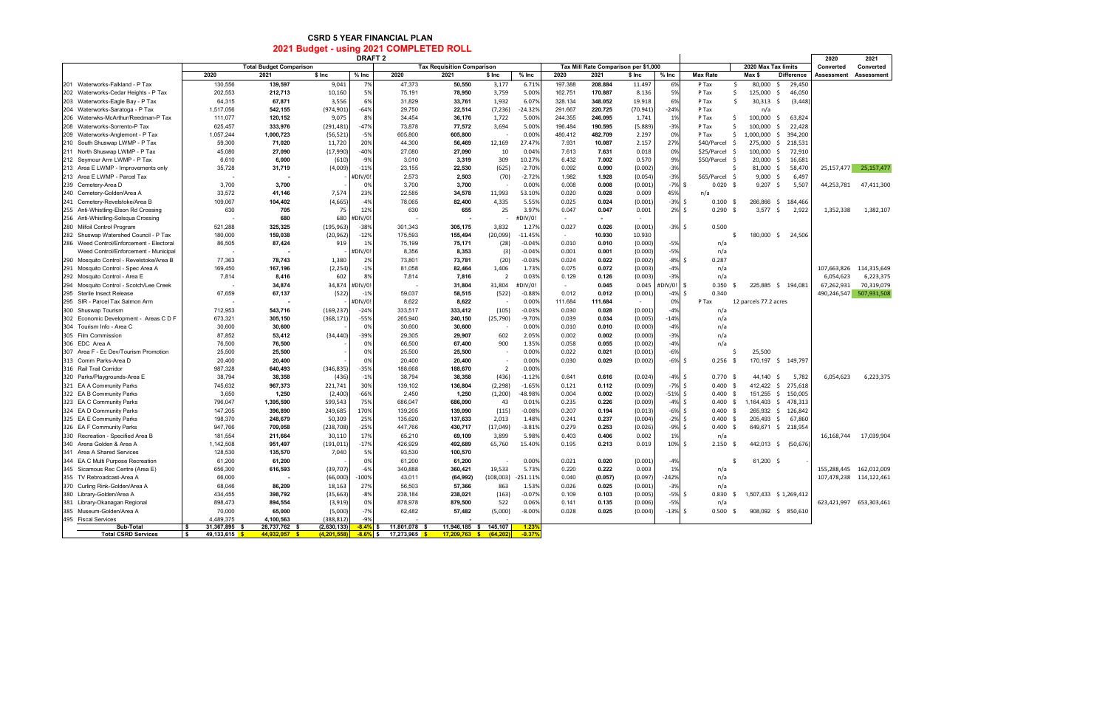## **CSRD 5 YEAR FINANCIAL PLAN 2021 Budget - using 2021 COMPLETED ROLL**

| <b>DRAFT 2</b>                           |                     |                                |               |              |                            |                                   |                |            |         |                                      |          |            | 2020                | 2021                              |                    |             |                         |
|------------------------------------------|---------------------|--------------------------------|---------------|--------------|----------------------------|-----------------------------------|----------------|------------|---------|--------------------------------------|----------|------------|---------------------|-----------------------------------|--------------------|-------------|-------------------------|
|                                          |                     | <b>Total Budget Comparison</b> |               |              |                            | <b>Tax Requisition Comparison</b> |                |            |         | Tax Mill Rate Comparison per \$1,000 |          |            |                     | 2020 Max Tax limits               |                    | Converted   | Converted               |
|                                          | 2020                | 2021                           | \$ Inc        | $%$ Inc      | 2020                       | 2021                              | \$ Inc         | $%$ Inc    | 2020    | 2021                                 | \$ Inc   | $%$ Inc    | <b>Max Rate</b>     | Max \$                            | <b>Difference</b>  | Assessment  | Assessment              |
| 201 Waterworks-Falkland - P Tax          | 130,556             | 139,597                        | 9,041         | 7%           | 47,373                     | 50,550                            | 3,177          | 6.71%      | 197.388 | 208.884                              | 11.497   | 6%         | P Tax               | 80,000<br>\$                      | 29,450<br>- \$     |             |                         |
| 202 Waterworks-Cedar Heights - P Tax     | 202,553             | 212,713                        | 10,160        | 5%           | 75,191                     | 78,950                            | 3,759          | 5.00%      | 162.751 | 170.887                              | 8.136    | 5%         | P Tax               | Ŝ.<br>125,000 \$                  | 46,050             |             |                         |
| 203 Waterworks-Eagle Bay - P Tax         | 64,315              | 67,871                         | 3,556         | 6%           | 31,829                     | 33,761                            | 1,932          | 6.07%      | 328.134 | 348.052                              | 19.918   | 6%         | P Tax               | \$<br>$30,313$ \$                 | (3, 448)           |             |                         |
| 204 Waterworks-Saratoga - P Tax          | 1,517,056           | 542,155                        | (974, 901)    | -64%         | 29,750                     | 22,514                            | (7, 236)       | $-24.32%$  | 291.667 | 220.725                              | (70.941) | $-24%$     | P Tax               | n/a                               |                    |             |                         |
| 206 Waterwks-McArthur/Reedman-P Tax      | 111,077             | 120,152                        | 9,075         | 8%           | 34,454                     | 36,176                            | 1,722          | 5.00%      | 244.355 | 246.095                              | 1.741    | 1%         | P Tax               | 100,000<br>S.                     | 63,824<br>-S       |             |                         |
| 208 Waterworks-Sorrento-P Tax            | 625,457             | 333,976                        | (291, 481)    | $-47%$       | 73,878                     | 77,572                            | 3,694          | 5.00%      | 196.484 | 190.595                              | (5.889)  | $-3%$      | P Tax               | Ŝ.<br>100,000                     | - \$<br>22,428     |             |                         |
| 209 Waterworks-Anglemont - P Tax         | 1,057,244           | 1,000,723                      | (56, 521)     | $-5%$        | 605,800                    | 605,800                           |                | 0.00%      | 480.412 | 482.709                              | 2.297    | 0%         | P Tax               | Ŝ.<br>1,000,000                   | \$<br>394,200      |             |                         |
| 210 South Shuswap LWMP - P Tax           | 59,300              | 71,020                         | 11,720        | 20%          | 44,300                     | 56,469                            | 12,169         | 27.47%     | 7.931   | 10.087                               | 2.157    | 27%        | \$40/Parcel         | 275,000 \$<br>- \$                | 218,531            |             |                         |
| 211 North Shuswap LWMP - P Tax           | 45,080              | 27,090                         | (17, 990)     | $-40%$       | 27,080                     | 27,090                            | 10             | 0.04%      | 7.613   | 7.631                                | 0.018    | 0%         | \$25/Parcel \$      | 100,000                           | 72,910<br>- \$     |             |                         |
| 212 Seymour Arm LWMP - P Tax             | 6,610               | 6,000                          | (610)         | $-9%$        | 3,010                      | 3,319                             | 309            | 10.27%     | 6.432   | 7.002                                | 0.570    | 9%         | \$50/Parcel \$      | 20,000                            | 16,681<br>- \$     |             |                         |
| 213 Area E LWMP - Improvements only      | 35,728              | 31,719                         | (4,009)       | $-11%$       | 23,155                     | 22,530                            | (625)          | $-2.70%$   | 0.092   | 0.090                                | (0.002)  | $-3%$      |                     | Ŝ.<br>81,000 \$                   | 58,470             | 25,157,477  | 25,157,477              |
| 213 Area E LWMP - Parcel Tax             |                     |                                |               | DIV/0!       | 2,573                      | 2,503                             | (70)           | $-2.72%$   | 1.982   | 1.928                                | (0.054)  | $-3%$      | \$65/Parcel \$      | $9,000$ \$                        | 6,497              |             |                         |
| 239 Cemetery-Area D                      | 3,700               | 3,700                          |               | 0%           | 3,700                      | 3,700                             |                | 0.00%      | 0.008   | 0.008                                | (0.001)  | $-7%$      | \$<br>$0.020$ \$    | $9,207$ \$                        | 5,507              | 44,253,781  | 47,411,300              |
| 240 Cemetery-Golden/Area A               | 33,572              | 41,146                         | 7,574         | 23%          | 22,585                     | 34,578                            | 11,993         | 53.10%     | 0.020   | 0.028                                | 0.009    | 45%        | n/a                 |                                   |                    |             |                         |
| 241 Cemetery-Revelstoke/Area B           | 109,067             | 104,402                        | (4,665)       | $-4%$        | 78,065                     | 82,400                            | 4,335          | 5.55%      | 0.025   | 0.024                                | (0.001)  | $-3\%$ \$  | $0.100 \text{ }$ \$ |                                   | 266,866 \$ 184,466 |             |                         |
| 255 Anti-Whistling-Elson Rd Crossing     | 630                 | 705                            | 75            | 12%          | 630                        | 655                               | 25             | 3.97%      | 0.047   | 0.047                                | 0.001    | $2\%$ \$   | 0.290               | $3,577$ \$<br>S.                  | 2,922              | 1,352,338   | 1,382,107               |
| 256 Anti-Whistling-Solsqua Crossing      |                     | 680                            | 680           | DIV/0!       |                            |                                   |                | #DIV/0!    | $\sim$  |                                      | $\sim$   |            |                     |                                   |                    |             |                         |
| 280 Milfoil Control Program              | 521,288             | 325,325                        | (195, 963)    | $-38%$       | 301,343                    | 305,175                           | 3,832          | 1.27%      | 0.027   | 0.026                                | (0.001)  | $-3\%$ \$  | 0.500               |                                   |                    |             |                         |
| 282 Shuswap Watershed Council - P Tax    | 180,000             | 159,038                        | (20, 962)     | $-12%$       | 175,593                    | 155,494                           | (20,099)       | $-11.45%$  | $\sim$  | 10.930                               | 10.930   |            |                     | \$.                               | 180,000 \$ 24,506  |             |                         |
| 286 Weed Control/Enforcement - Electoral | 86,505              | 87,424                         | 919           | 1%           | 75,199                     | 75,171                            | (28)           | $-0.04%$   | 0.010   | 0.010                                | (0.000)  | $-5%$      | n/a                 |                                   |                    |             |                         |
| Weed Control/Enforcement - Municipal     |                     |                                |               | <b>DIV/0</b> | 8,356                      | 8,353                             | (3)            | $-0.04%$   | 0.001   | 0.001                                | (0.000)  | $-5%$      | n/a                 |                                   |                    |             |                         |
| 290 Mosquito Control - Revelstoke/Area B | 77,363              | 78,743                         | 1,380         | 2%           | 73,801                     | 73,781                            | (20)           | $-0.03%$   | 0.024   | 0.022                                | (0.002)  | $-8%$      | S.<br>0.287         |                                   |                    |             |                         |
| 291 Mosquito Control - Spec Area A       | 169,450             | 167,196                        | (2, 254)      | $-1%$        | 81,058                     | 82,464                            | 1,406          | 1.73%      | 0.075   | 0.072                                | (0.003)  | $-4%$      | n/a                 |                                   |                    | 107,663,826 | 114,315,649             |
| 292 Mosquito Control - Area E            | 7,814               | 8,416                          | 602           | 8%           | 7,814                      | 7,816                             | $\overline{2}$ | 0.03%      | 0.129   | 0.126                                | (0.003)  | $-3%$      | n/a                 |                                   |                    | 6,054,623   | 6,223,375               |
| 294 Mosquito Control - Scotch/Lee Creek  |                     | 34,874                         | 34,874        | #DIV/0!      |                            | 31,804                            | 31,804         | #DIV/0!    | $\sim$  | 0.045                                | 0.045    | #DIV/0!    | \$<br>0.350         |                                   | 225,885 \$ 194,081 | 67,262,931  | 70,319,079              |
| 295 Sterile Insect Release               | 67,659              | 67,137                         | (522)         | $-1%$        | 59,037                     | 58,515                            | (522)          | $-0.88%$   | 0.012   | 0.012                                | (0.001)  | $-4\%$ \$  | 0.340               |                                   |                    | 490,246,547 | 507,931,508             |
| 295 SIR - Parcel Tax Salmon Arm          |                     |                                |               | #DIV/0!      | 8,622                      | 8,622                             |                | 0.00%      | 111.684 | 111.684                              | $\sim$   | 0%         | P Tax               | 12 parcels 77.2 acres             |                    |             |                         |
| 300 Shuswap Tourism                      | 712,953             | 543,716                        | (169, 237)    | $-24%$       | 333,517                    | 333,412                           | (105)          | $-0.03%$   | 0.030   | 0.028                                | (0.001)  | $-4%$      | n/a                 |                                   |                    |             |                         |
| 302 Economic Development - Areas C D F   | 673,321             | 305,150                        | (368, 171)    | $-55%$       | 265,940                    | 240,150                           | (25, 790)      | $-9.70%$   | 0.039   | 0.034                                | (0.005)  | $-14%$     | n/a                 |                                   |                    |             |                         |
| 304 Tourism Info - Area C                | 30,600              | 30,600                         |               | 0%           | 30,600                     | 30,600                            |                | 0.00%      | 0.010   | 0.010                                | (0.000)  | $-4%$      | n/a                 |                                   |                    |             |                         |
| 305 Film Commission                      | 87,852              | 53,412                         | (34, 440)     | $-39%$       | 29,305                     | 29,907                            | 602            | 2.05%      | 0.002   | 0.002                                | (0.000)  | $-3%$      | n/a                 |                                   |                    |             |                         |
| 306 EDC Area A                           | 76,500              | 76,500                         |               | 0%           | 66,500                     | 67,400                            | 900            | 1.35%      | 0.058   | 0.055                                | (0.002)  | $-4%$      | n/a                 |                                   |                    |             |                         |
| 307 Area F - Ec Dev/Tourism Promotion    | 25,500              | 25,500                         |               | 0%           | 25,500                     | 25,500                            |                | 0.00%      | 0.022   | 0.021                                | (0.001)  | $-6%$      |                     | 25,500<br>.s                      |                    |             |                         |
| 313 Comm Parks-Area D                    | 20,400              | 20,400                         |               | 0%           | 20,400                     | 20,400                            |                | 0.00%      | 0.030   | 0.029                                | (0.002)  | $-6\%$ \$  | 0.256               | - \$                              | 170,197 \$ 149,797 |             |                         |
| 316 Rail Trail Corridor                  | 987,328             | 640,493                        | (346, 835)    | $-35%$       | 188,668                    | 188,670                           | 2              | 0.00%      |         |                                      |          |            |                     |                                   |                    |             |                         |
| 320 Parks/Playgrounds-Area E             | 38,794              | 38,358                         | (436)         | $-1%$        | 38,794                     | 38,358                            | (436)          | $-1.12%$   | 0.641   | 0.616                                | (0.024)  | $-4\%$ \$  | $0.770$ \$          | 44,140                            | - \$<br>5,782      | 6,054,623   | 6,223,375               |
| 321 EA A Community Parks                 | 745,632             | 967,373                        | 221,741       | 30%          | 139,102                    | 136,804                           | (2, 298)       | $-1.65%$   | 0.121   | 0.112                                | (0.009)  | $-7\%$ \$  | $0.400 \text{ }$ \$ | $412,422$ \$                      | 275,618            |             |                         |
| 322 EA B Community Parks                 | 3,650               | 1,250                          | (2,400)       | $-66%$       | 2,450                      | 1,250                             | (1,200)        | -48.98%    | 0.004   | 0.002                                | (0.002)  | $-51\%$ \$ | 0.400               | 151,255 \$<br>\$                  | 150,005            |             |                         |
| 323 EA C Community Parks                 | 796,047             | 1,395,590                      | 599,543       | 75%          | 686,047                    | 686,090                           | 43             | 0.01%      | 0.235   | 0.226                                | (0.009)  | -4% \$     | $0.400 \text{ }$ \$ | 1,164,403 \$                      | 478,313            |             |                         |
| 324 EA D Community Parks                 | 147,205             | 396,890                        | 249,685       | 170%         | 139,205                    | 139,090                           | (115)          | $-0.08%$   | 0.207   | 0.194                                | (0.013)  | $-6\%$ \$  | 0.400               | 265.932 \$<br>S.                  | 126,842            |             |                         |
| 325 EA E Community Parks                 | 198,370             | 248,679                        | 50,309        | 25%          | 135,620                    | 137,633                           | 2,013          | 1.48%      | 0.241   | 0.237                                | (0.004)  | $-2\%$ \$  | $0.400 \text{ }$ \$ | 205,493 \$                        | 67,860             |             |                         |
| 326 EA F Community Parks                 | 947,766             | 709,058                        | (238, 708)    | $-25%$       | 447,766                    | 430,717                           | (17, 049)      | $-3.81%$   | 0.279   | 0.253                                | (0.026)  | $-9\%$ \$  | $0.400 \text{ }$ \$ |                                   | 649,671 \$ 218,954 |             |                         |
| 330 Recreation - Specified Area B        | 181,554             | 211,664                        | 30,110        | 17%          | 65,210                     | 69,109                            | 3,899          | 5.98%      | 0.403   | 0.406                                | 0.002    | 1%         | n/a                 |                                   |                    | 16,168,744  | 17,039,904              |
| 340 Arena Golden & Area A                | 1,142,508           | 951,497                        | (191, 011)    | $-17%$       | 426,929                    | 492,689                           | 65,760         | 15.40%     | 0.195   | 0.213                                | 0.019    | 10% \$     | 2.150               | 442,013 \$<br>\$                  | (50,676)           |             |                         |
| 341 Area A Shared Services               | 128,530             | 135,570                        | 7,040         | 5%           | 93,530                     | 100,570                           |                |            |         |                                      |          |            |                     |                                   |                    |             |                         |
| 344 EA C Multi Purpose Recreation        | 61,200              | 61,200                         |               | 0%           | 61,200                     | 61,200                            |                | 0.00%      | 0.021   | 0.020                                | (0.001)  | $-4%$      |                     | 61,200 \$<br>$\mathbb{S}$         |                    |             |                         |
| 345 Sicamous Rec Centre (Area E)         | 656,300             | 616,593                        | (39, 707)     | $-6%$        | 340,888                    | 360,421                           | 19,533         | 5.73%      | 0.220   | 0.222                                | 0.003    | 1%         | n/a                 |                                   |                    |             | 155,288,445 162,012,009 |
| 355 TV Rebroadcast-Area A                | 66,000              |                                | (66,000)      | $-100%$      | 43,011                     | (64, 992)                         | (108,003)      | $-251.11%$ | 0.040   | (0.057)                              | (0.097)  | $-242%$    | n/a                 |                                   |                    |             | 107,478,238 114,122,461 |
| 370 Curling Rink-Golden/Area A           | 68,046              | 86,209                         | 18,163        | 27%          | 56,503                     | 57,366                            | 863            | 1.53%      | 0.026   | 0.025                                | (0.001)  | $-3%$      | n/a                 |                                   |                    |             |                         |
| 380 Library-Golden/Area A                | 434,455             | 398,792                        | (35, 663)     | $-8%$        | 238,184                    | 238,021                           | (163)          | $-0.07%$   | 0.109   | 0.103                                | (0.005)  | $-5\%$ \$  |                     | $0.830$ \$ 1,507,433 \$ 1,269,412 |                    |             |                         |
| 381 Library-Okanagan Regional            | 898,473             | 894,554                        | (3, 919)      | 0%           | 878,978                    | 879,500                           | 522            | 0.06%      | 0.141   | 0.135                                | (0.006)  | $-5%$      | n/a                 |                                   |                    |             | 623,421,997 653,303,461 |
| 385 Museum-Golden/Area A                 | 70,000              | 65,000                         | (5,000)       | $-7%$        | 62,482                     | 57,482                            | (5,000)        | $-8.00%$   | 0.028   | 0.025                                | (0.004)  | $-13\%$ \$ | $0.500$ \$          |                                   | 908,092 \$ 850,610 |             |                         |
| 495 Fiscal Services                      | 4,489,375           | 4,100,563                      | (388, 812)    | $-9%$        |                            |                                   |                |            |         |                                      |          |            |                     |                                   |                    |             |                         |
| Sub-Total                                | 31,367,895 \$       | 28,737,762 \$                  | (2,630,133)   | $-8.4\%$ \$  | 11,801,078 \$              | 11,946,185 \$ 145,107             |                | 1.23%      |         |                                      |          |            |                     |                                   |                    |             |                         |
| <b>Total CSRD Services</b>               | \$<br>49,133,615 \$ | 44,932,057 \$                  | (4, 201, 558) | $-8.6\%$ \$  | 17,273,965 <mark>\$</mark> | $17,209,763$ \$ $(64,202)$        |                | $-0.37%$   |         |                                      |          |            |                     |                                   |                    |             |                         |